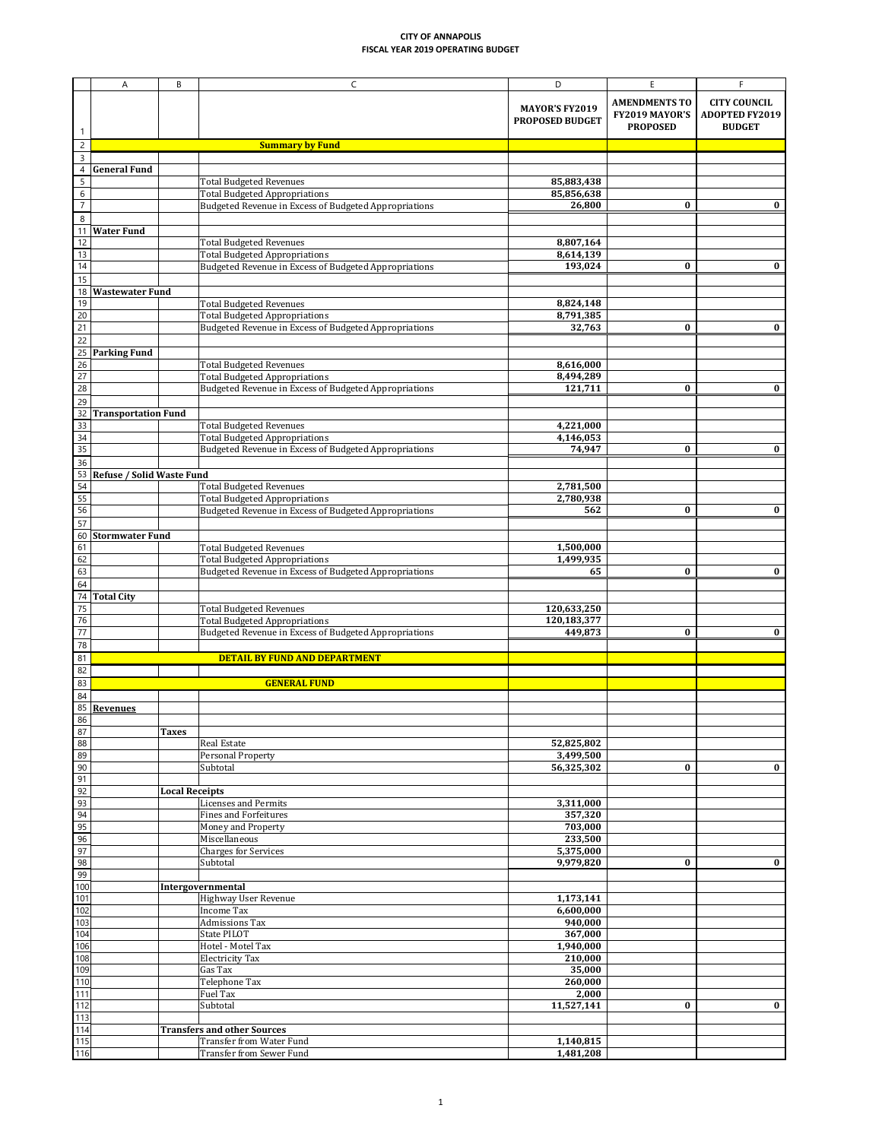|                               | Α                            | B                     | C                                                                                                                               | D                                               | E                                                         | Е                                                             |
|-------------------------------|------------------------------|-----------------------|---------------------------------------------------------------------------------------------------------------------------------|-------------------------------------------------|-----------------------------------------------------------|---------------------------------------------------------------|
|                               |                              |                       |                                                                                                                                 | <b>MAYOR'S FY2019</b><br><b>PROPOSED BUDGET</b> | <b>AMENDMENTS TO</b><br>FY2019 MAYOR'S<br><b>PROPOSED</b> | <b>CITY COUNCIL</b><br><b>ADOPTED FY2019</b><br><b>BUDGET</b> |
| $\overline{c}$                |                              |                       | <b>Summary by Fund</b>                                                                                                          |                                                 |                                                           |                                                               |
| 3                             |                              |                       |                                                                                                                                 |                                                 |                                                           |                                                               |
| 4<br>5<br>6<br>$\overline{7}$ | <b>General Fund</b>          |                       | <b>Total Budgeted Revenues</b><br><b>Total Budgeted Appropriations</b><br>Budgeted Revenue in Excess of Budgeted Appropriations | 85,883,438<br>85,856,638<br>26,800              | $\bf{0}$                                                  | $\mathbf{0}$                                                  |
| 8                             |                              |                       |                                                                                                                                 |                                                 |                                                           |                                                               |
| 11                            | <b>Water Fund</b>            |                       |                                                                                                                                 |                                                 |                                                           |                                                               |
| 12<br>13                      |                              |                       | <b>Total Budgeted Revenues</b>                                                                                                  | 8,807,164<br>8,614,139                          |                                                           |                                                               |
| 14                            |                              |                       | <b>Total Budgeted Appropriations</b><br>Budgeted Revenue in Excess of Budgeted Appropriations                                   | 193,024                                         | $\bf{0}$                                                  | $\bf{0}$                                                      |
| 15                            |                              |                       |                                                                                                                                 |                                                 |                                                           |                                                               |
| 18                            | <b>Wastewater Fund</b>       |                       |                                                                                                                                 |                                                 |                                                           |                                                               |
| 19                            |                              |                       | <b>Total Budgeted Revenues</b>                                                                                                  | 8,824,148                                       |                                                           |                                                               |
| 20<br>21                      |                              |                       | <b>Total Budgeted Appropriations</b><br>Budgeted Revenue in Excess of Budgeted Appropriations                                   | 8,791,385<br>32,763                             | $\bf{0}$                                                  | $\bf{0}$                                                      |
| 22                            |                              |                       |                                                                                                                                 |                                                 |                                                           |                                                               |
|                               | 25 Parking Fund              |                       |                                                                                                                                 |                                                 |                                                           |                                                               |
| 26                            |                              |                       | <b>Total Budgeted Revenues</b>                                                                                                  | 8,616,000                                       |                                                           |                                                               |
| $\overline{27}$               |                              |                       | <b>Total Budgeted Appropriations</b>                                                                                            | 8,494,289                                       |                                                           |                                                               |
| 28<br>29                      |                              |                       | Budgeted Revenue in Excess of Budgeted Appropriations                                                                           | 121,711                                         | $\bf{0}$                                                  | $\bf{0}$                                                      |
| 32                            | <b>Transportation Fund</b>   |                       |                                                                                                                                 |                                                 |                                                           |                                                               |
| 33                            |                              |                       | <b>Total Budgeted Revenues</b>                                                                                                  | 4,221,000                                       |                                                           |                                                               |
| 34                            |                              |                       | <b>Total Budgeted Appropriations</b>                                                                                            | 4,146,053                                       |                                                           |                                                               |
| 35                            |                              |                       | Budgeted Revenue in Excess of Budgeted Appropriations                                                                           | 74,947                                          | $\bf{0}$                                                  | $\bf{0}$                                                      |
| 36                            | 53 Refuse / Solid Waste Fund |                       |                                                                                                                                 |                                                 |                                                           |                                                               |
| $\overline{54}$               |                              |                       | <b>Total Budgeted Revenues</b>                                                                                                  | 2,781,500                                       |                                                           |                                                               |
| $\overline{55}$               |                              |                       | <b>Total Budgeted Appropriations</b>                                                                                            | 2,780,938                                       |                                                           |                                                               |
| 56                            |                              |                       | Budgeted Revenue in Excess of Budgeted Appropriations                                                                           | 562                                             | $\bf{0}$                                                  | $\bf{0}$                                                      |
| 57                            |                              |                       |                                                                                                                                 |                                                 |                                                           |                                                               |
| 61                            | 60 Stormwater Fund           |                       | <b>Total Budgeted Revenues</b>                                                                                                  | 1,500,000                                       |                                                           |                                                               |
| 62                            |                              |                       | <b>Total Budgeted Appropriations</b>                                                                                            | 1,499,935                                       |                                                           |                                                               |
| 63                            |                              |                       | Budgeted Revenue in Excess of Budgeted Appropriations                                                                           | 65                                              | $\bf{0}$                                                  | 0                                                             |
| 64                            |                              |                       |                                                                                                                                 |                                                 |                                                           |                                                               |
| 74<br>75                      | <b>Total City</b>            |                       | <b>Total Budgeted Revenues</b>                                                                                                  | 120,633,250                                     |                                                           |                                                               |
| 76                            |                              |                       | <b>Total Budgeted Appropriations</b>                                                                                            | 120,183,377                                     |                                                           |                                                               |
| 77                            |                              |                       | Budgeted Revenue in Excess of Budgeted Appropriations                                                                           | 449,873                                         | $\bf{0}$                                                  | $\bf{0}$                                                      |
| 78                            |                              |                       |                                                                                                                                 |                                                 |                                                           |                                                               |
| 81<br>82                      |                              |                       | <b>DETAIL BY FUND AND DEPARTMENT</b>                                                                                            |                                                 |                                                           |                                                               |
| 83                            |                              |                       | <b>GENERAL FUND</b>                                                                                                             |                                                 |                                                           |                                                               |
| 84<br>85<br>86                | <b>Revenues</b>              |                       |                                                                                                                                 |                                                 |                                                           |                                                               |
| 87                            |                              | <b>Taxes</b>          |                                                                                                                                 |                                                 |                                                           |                                                               |
| 88                            |                              |                       | <b>Real Estate</b>                                                                                                              | 52,825,802                                      |                                                           |                                                               |
| 89                            |                              |                       | <b>Personal Property</b><br>Subtotal                                                                                            | 3,499,500                                       |                                                           |                                                               |
| 90<br>91                      |                              |                       |                                                                                                                                 | 56,325,302                                      | $\bf{0}$                                                  | $\bf{0}$                                                      |
| 92                            |                              | <b>Local Receipts</b> |                                                                                                                                 |                                                 |                                                           |                                                               |
| 93                            |                              |                       | <b>Licenses and Permits</b>                                                                                                     | 3,311,000                                       |                                                           |                                                               |
| 94<br>95                      |                              |                       | <b>Fines and Forfeitures</b><br>Money and Property                                                                              | 357,320<br>703,000                              |                                                           |                                                               |
| 96                            |                              |                       | Miscellaneous                                                                                                                   | 233,500                                         |                                                           |                                                               |
| 97                            |                              |                       | <b>Charges for Services</b>                                                                                                     | 5,375,000                                       |                                                           |                                                               |
| <b>QR</b><br>ο,               |                              |                       | Subtotal                                                                                                                        | 9,979,820                                       | $\Omega$<br>v                                             | $\bf{0}$                                                      |
| 99<br>100                     |                              |                       | Intergovernmental                                                                                                               |                                                 |                                                           |                                                               |
| 101                           |                              |                       | Highway User Revenue                                                                                                            | 1,173,141                                       |                                                           |                                                               |
| 102                           |                              |                       | <b>Income Tax</b>                                                                                                               | 6,600,000                                       |                                                           |                                                               |
| 103                           |                              |                       | <b>Admissions Tax</b>                                                                                                           | 940,000                                         |                                                           |                                                               |
| 104<br>106                    |                              |                       | <b>State PILOT</b><br>Hotel - Motel Tax                                                                                         | 367,000<br>1,940,000                            |                                                           |                                                               |
| 108                           |                              |                       | <b>Electricity Tax</b>                                                                                                          | 210,000                                         |                                                           |                                                               |
| 109                           |                              |                       | Gas Tax                                                                                                                         | 35,000                                          |                                                           |                                                               |
| 110                           |                              |                       | Telephone Tax                                                                                                                   | 260,000                                         |                                                           |                                                               |
| 111<br>112                    |                              |                       | <b>Fuel Tax</b><br>Subtotal                                                                                                     | 2,000<br>11,527,141                             | $\bf{0}$                                                  | $\bf{0}$                                                      |
| 113                           |                              |                       |                                                                                                                                 |                                                 |                                                           |                                                               |
| 114                           |                              |                       | <b>Transfers and other Sources</b>                                                                                              |                                                 |                                                           |                                                               |
| 115                           |                              |                       | <b>Transfer from Water Fund</b>                                                                                                 | 1,140,815                                       |                                                           |                                                               |
| 116                           |                              |                       | <b>Transfer from Sewer Fund</b>                                                                                                 | 1,481,208                                       |                                                           |                                                               |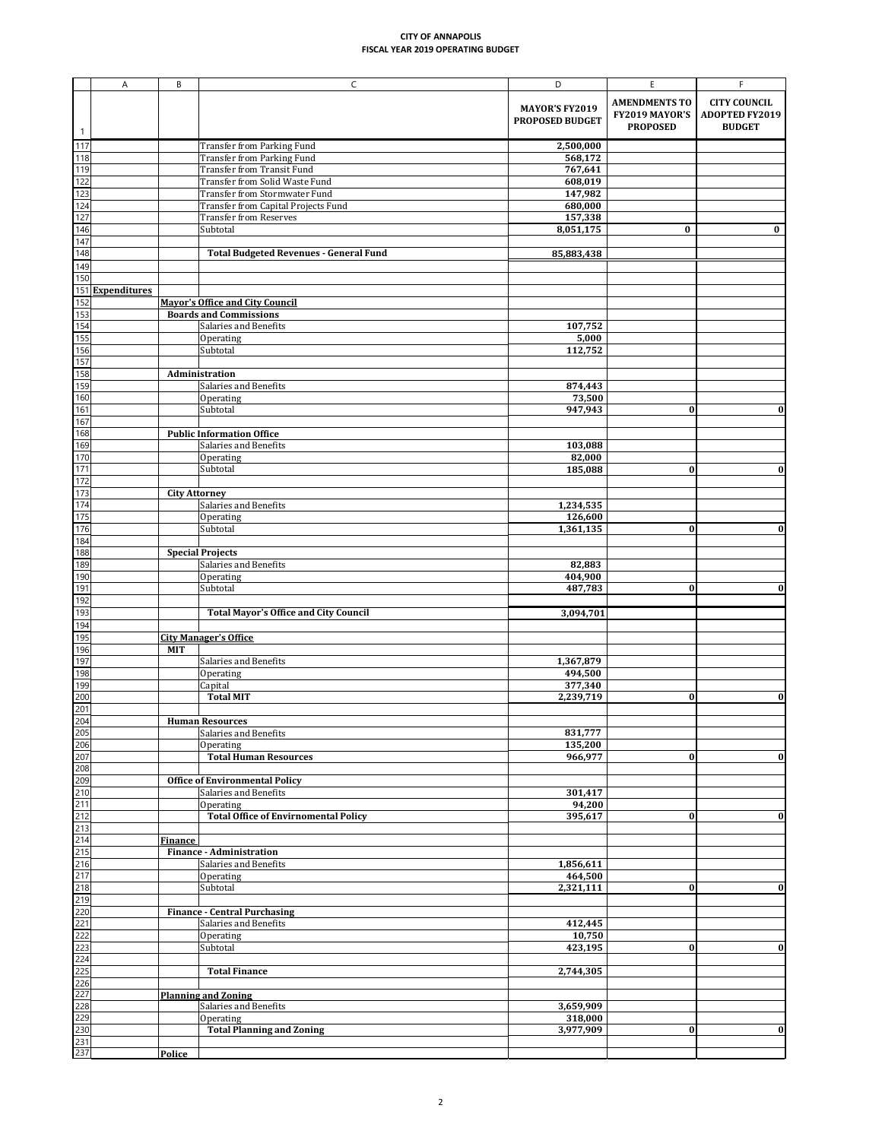|                                                                                                       | A                   | B                    | $\mathsf C$                                                            | D                                        | E                                                         | F.                                                            |
|-------------------------------------------------------------------------------------------------------|---------------------|----------------------|------------------------------------------------------------------------|------------------------------------------|-----------------------------------------------------------|---------------------------------------------------------------|
|                                                                                                       |                     |                      |                                                                        | <b>MAYOR'S FY2019</b><br>PROPOSED BUDGET | <b>AMENDMENTS TO</b><br>FY2019 MAYOR'S<br><b>PROPOSED</b> | <b>CITY COUNCIL</b><br><b>ADOPTED FY2019</b><br><b>BUDGET</b> |
|                                                                                                       |                     |                      |                                                                        |                                          |                                                           |                                                               |
| 117<br>118                                                                                            |                     |                      | <b>Transfer from Parking Fund</b><br><b>Transfer from Parking Fund</b> | 2,500,000<br>568,172                     |                                                           |                                                               |
| 119                                                                                                   |                     |                      | <b>Transfer from Transit Fund</b>                                      | 767,641                                  |                                                           |                                                               |
| 122                                                                                                   |                     |                      | Transfer from Solid Waste Fund                                         | 608,019                                  |                                                           |                                                               |
| $\frac{1}{123}$                                                                                       |                     |                      | <b>Transfer from Stormwater Fund</b>                                   | 147,982                                  |                                                           |                                                               |
| 124                                                                                                   |                     |                      | Transfer from Capital Projects Fund                                    | 680,000                                  |                                                           |                                                               |
| 127                                                                                                   |                     |                      | <b>Transfer from Reserves</b>                                          | 157,338                                  |                                                           |                                                               |
| 146                                                                                                   |                     |                      | Subtotal                                                               | 8,051,175                                | $\bf{0}$                                                  | $\bf{0}$                                                      |
| 147<br>148                                                                                            |                     |                      | <b>Total Budgeted Revenues - General Fund</b>                          | 85,883,438                               |                                                           |                                                               |
| 149                                                                                                   |                     |                      |                                                                        |                                          |                                                           |                                                               |
| 150                                                                                                   |                     |                      |                                                                        |                                          |                                                           |                                                               |
| 151                                                                                                   | <b>Expenditures</b> |                      |                                                                        |                                          |                                                           |                                                               |
| $\frac{152}{153}$                                                                                     |                     |                      | <b>Mayor's Office and City Council</b>                                 |                                          |                                                           |                                                               |
|                                                                                                       |                     |                      | <b>Boards and Commissions</b><br><b>Salaries and Benefits</b>          |                                          |                                                           |                                                               |
|                                                                                                       |                     |                      | Operating                                                              | 107,752<br>5,000                         |                                                           |                                                               |
| $\frac{154}{155}$                                                                                     |                     |                      | Subtotal                                                               | 112,752                                  |                                                           |                                                               |
| 157                                                                                                   |                     |                      |                                                                        |                                          |                                                           |                                                               |
| 158                                                                                                   |                     |                      | Administration                                                         |                                          |                                                           |                                                               |
| 159                                                                                                   |                     |                      | Salaries and Benefits                                                  | 874,443                                  |                                                           |                                                               |
| 160<br>161                                                                                            |                     |                      | Operating<br>Subtotal                                                  | 73,500<br>947,943                        | $\bf{0}$                                                  | $\bf{0}$                                                      |
| 167                                                                                                   |                     |                      |                                                                        |                                          |                                                           |                                                               |
| 168                                                                                                   |                     |                      | <b>Public Information Office</b>                                       |                                          |                                                           |                                                               |
| 169                                                                                                   |                     |                      | <b>Salaries and Benefits</b>                                           | 103,088                                  |                                                           |                                                               |
| 170                                                                                                   |                     |                      | Operating                                                              | 82,000                                   |                                                           |                                                               |
| $\overline{171}$                                                                                      |                     |                      | Subtotal                                                               | 185,088                                  | 0                                                         | <u>V</u>                                                      |
| 172<br>173                                                                                            |                     | <b>City Attorney</b> |                                                                        |                                          |                                                           |                                                               |
| 174                                                                                                   |                     |                      | Salaries and Benefits                                                  | 1,234,535                                |                                                           |                                                               |
| 175                                                                                                   |                     |                      | Operating                                                              | 126,600                                  |                                                           |                                                               |
| 176                                                                                                   |                     |                      | Subtotal                                                               | 1,361,135                                | $\bf{0}$                                                  | $\bf{0}$                                                      |
| 184<br>188                                                                                            |                     |                      |                                                                        |                                          |                                                           |                                                               |
| 189                                                                                                   |                     |                      | <b>Special Projects</b><br>Salaries and Benefits                       | 82,883                                   |                                                           |                                                               |
| 190                                                                                                   |                     |                      | Operating                                                              | 404,900                                  |                                                           |                                                               |
| 191                                                                                                   |                     |                      | Subtotal                                                               | 487,783                                  | $\bf{0}$                                                  | $\bf{0}$                                                      |
| 192                                                                                                   |                     |                      |                                                                        |                                          |                                                           |                                                               |
| 193                                                                                                   |                     |                      | <b>Total Mayor's Office and City Council</b>                           | 3,094,701                                |                                                           |                                                               |
| 194<br>195                                                                                            |                     |                      | <b>City Manager's Office</b>                                           |                                          |                                                           |                                                               |
| 196                                                                                                   |                     | <b>MIT</b>           |                                                                        |                                          |                                                           |                                                               |
| 197                                                                                                   |                     |                      | <b>Salaries and Benefits</b>                                           | 1,367,879                                |                                                           |                                                               |
| 198                                                                                                   |                     |                      | Operating                                                              | 494,500                                  |                                                           |                                                               |
| 199<br>200                                                                                            |                     |                      | Capital<br><b>Total MIT</b>                                            | 377,340<br>2,239,719                     | $\bf{0}$                                                  | $\bf{0}$                                                      |
| 201                                                                                                   |                     |                      |                                                                        |                                          |                                                           |                                                               |
| 204                                                                                                   |                     |                      | <b>Human Resources</b>                                                 |                                          |                                                           |                                                               |
| 205                                                                                                   |                     |                      | Salaries and Benefits                                                  | 831,777                                  |                                                           |                                                               |
| 206                                                                                                   |                     |                      | Operating                                                              | 135,200                                  |                                                           |                                                               |
| 207<br>208                                                                                            |                     |                      | <b>Total Human Resources</b>                                           | 966,977                                  | $\bf{0}$                                                  | $\bf{0}$                                                      |
| 209                                                                                                   |                     |                      | <b>Office of Environmental Policy</b>                                  |                                          |                                                           |                                                               |
| 210                                                                                                   |                     |                      | Salaries and Benefits                                                  | 301,417                                  |                                                           |                                                               |
| 211                                                                                                   |                     |                      | Operating                                                              | 94,200                                   |                                                           |                                                               |
| 212                                                                                                   |                     |                      | <b>Total Office of Envirnomental Policy</b>                            | 395,617                                  | $\bf{0}$                                                  | $\boldsymbol{0}$                                              |
| 213<br>214                                                                                            |                     | <b>Finance</b>       |                                                                        |                                          |                                                           |                                                               |
| 215                                                                                                   |                     |                      | <b>Finance - Administration</b>                                        |                                          |                                                           |                                                               |
|                                                                                                       |                     |                      | Salaries and Benefits                                                  | 1,856,611                                |                                                           |                                                               |
| 216<br>217<br>218<br>219<br>220<br>222<br>222<br>222<br>225<br>222<br>225<br>227<br>223<br>231<br>237 |                     |                      | Operating                                                              | 464,500                                  |                                                           |                                                               |
|                                                                                                       |                     |                      | Subtotal                                                               | 2,321,111                                | $\bf{0}$                                                  | $\bf{0}$                                                      |
|                                                                                                       |                     |                      | <b>Finance - Central Purchasing</b>                                    |                                          |                                                           |                                                               |
|                                                                                                       |                     |                      | Salaries and Benefits                                                  | 412,445                                  |                                                           |                                                               |
|                                                                                                       |                     |                      | Operating                                                              | 10,750                                   |                                                           |                                                               |
|                                                                                                       |                     |                      | Subtotal                                                               | 423,195                                  | $\bf{0}$                                                  | $\bf{0}$                                                      |
|                                                                                                       |                     |                      | <b>Total Finance</b>                                                   |                                          |                                                           |                                                               |
|                                                                                                       |                     |                      |                                                                        | 2,744,305                                |                                                           |                                                               |
|                                                                                                       |                     |                      | <b>Planning and Zoning</b>                                             |                                          |                                                           |                                                               |
|                                                                                                       |                     |                      | Salaries and Benefits                                                  | 3,659,909                                |                                                           |                                                               |
|                                                                                                       |                     |                      | Operating                                                              | 318,000                                  |                                                           |                                                               |
|                                                                                                       |                     |                      | <b>Total Planning and Zoning</b>                                       | 3,977,909                                | $\bf{0}$                                                  | $\boldsymbol{0}$                                              |
|                                                                                                       |                     | Police               |                                                                        |                                          |                                                           |                                                               |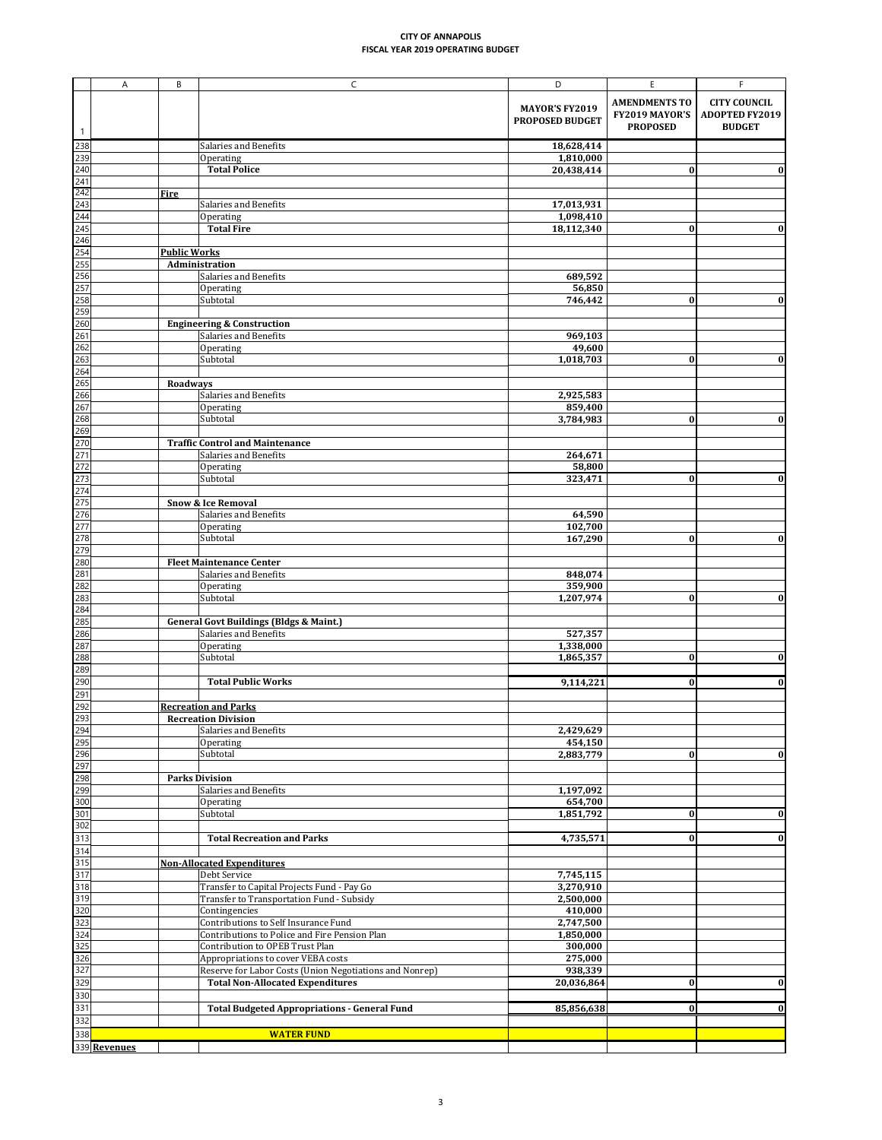|                                                       | A            | B                   | $\mathsf{C}$                                                                            | D                                               | E                                                         | F.                                                            |
|-------------------------------------------------------|--------------|---------------------|-----------------------------------------------------------------------------------------|-------------------------------------------------|-----------------------------------------------------------|---------------------------------------------------------------|
|                                                       |              |                     |                                                                                         | <b>MAYOR'S FY2019</b><br><b>PROPOSED BUDGET</b> | <b>AMENDMENTS TO</b><br>FY2019 MAYOR'S<br><b>PROPOSED</b> | <b>CITY COUNCIL</b><br><b>ADOPTED FY2019</b><br><b>BUDGET</b> |
| 238                                                   |              |                     | <b>Salaries and Benefits</b>                                                            | 18,628,414                                      |                                                           |                                                               |
| 239                                                   |              |                     | Operating                                                                               | 1,810,000                                       |                                                           |                                                               |
| 240                                                   |              |                     | <b>Total Police</b>                                                                     | 20,438,414                                      | $\boldsymbol{0}$                                          | 0                                                             |
|                                                       |              |                     |                                                                                         |                                                 |                                                           |                                                               |
| $\frac{241}{242}$                                     |              | <b>Fire</b>         |                                                                                         |                                                 |                                                           |                                                               |
|                                                       |              |                     | Salaries and Benefits                                                                   | 17,013,931                                      |                                                           |                                                               |
| 244                                                   |              |                     | <b>Operating</b>                                                                        | 1,098,410                                       |                                                           |                                                               |
| 245<br>246                                            |              |                     | <b>Total Fire</b>                                                                       | 18,112,340                                      | $\bf{0}$                                                  | 0                                                             |
|                                                       |              | <b>Public Works</b> |                                                                                         |                                                 |                                                           |                                                               |
|                                                       |              |                     | Administration                                                                          |                                                 |                                                           |                                                               |
|                                                       |              |                     | <b>Salaries and Benefits</b>                                                            | 689,592                                         |                                                           |                                                               |
| $\frac{254}{256}$ $\frac{255}{257}$ $\frac{257}{258}$ |              |                     | Operating                                                                               | 56,850                                          |                                                           |                                                               |
|                                                       |              |                     | Subtotal                                                                                | 746,442                                         | $\bf{0}$                                                  | $\bf{0}$                                                      |
| $\frac{259}{260}$                                     |              |                     |                                                                                         |                                                 |                                                           |                                                               |
|                                                       |              |                     | <b>Engineering &amp; Construction</b>                                                   |                                                 |                                                           |                                                               |
|                                                       |              |                     | Salaries and Benefits                                                                   | 969,103                                         |                                                           |                                                               |
|                                                       |              |                     | Operating                                                                               | 49,600                                          |                                                           |                                                               |
|                                                       |              |                     | Subtotal                                                                                | 1,018,703                                       | $\bf{0}$                                                  | 0                                                             |
| 262<br>263<br>265<br>265                              |              | <b>Roadways</b>     |                                                                                         |                                                 |                                                           |                                                               |
| 266                                                   |              |                     | Salaries and Benefits                                                                   | 2,925,583                                       |                                                           |                                                               |
| 267                                                   |              |                     | Operating                                                                               | 859,400                                         |                                                           |                                                               |
| 268                                                   |              |                     | Subtotal                                                                                | 3,784,983                                       | $\bf{0}$                                                  | $\boldsymbol{0}$                                              |
| 269                                                   |              |                     |                                                                                         |                                                 |                                                           |                                                               |
| 270                                                   |              |                     | <b>Traffic Control and Maintenance</b>                                                  |                                                 |                                                           |                                                               |
| $\frac{271}{272}$                                     |              |                     | <b>Salaries and Benefits</b>                                                            | 264,671                                         |                                                           |                                                               |
| $-11$                                                 |              |                     | Operating                                                                               | 58,800                                          |                                                           | $\bf{0}$                                                      |
| 273<br>274                                            |              |                     | Subtotal                                                                                | 323,471                                         | $\bf{0}$                                                  |                                                               |
|                                                       |              |                     | <b>Snow &amp; Ice Removal</b>                                                           |                                                 |                                                           |                                                               |
| $\frac{275}{276}$                                     |              |                     | Salaries and Benefits                                                                   | 64,590                                          |                                                           |                                                               |
| 277                                                   |              |                     | Operating                                                                               | 102,700                                         |                                                           |                                                               |
| 278                                                   |              |                     | Subtotal                                                                                | 167,290                                         | $\bf{0}$                                                  | $\bf{0}$                                                      |
| 279<br>280                                            |              |                     |                                                                                         |                                                 |                                                           |                                                               |
|                                                       |              |                     | <b>Fleet Maintenance Center</b>                                                         |                                                 |                                                           |                                                               |
| 281                                                   |              |                     | <b>Salaries and Benefits</b>                                                            | 848,074                                         |                                                           |                                                               |
|                                                       |              |                     | Operating<br>Subtotal                                                                   | 359,900<br>1,207,974                            | $\bf{0}$                                                  | $\bf{0}$                                                      |
| 282<br>283<br>284                                     |              |                     |                                                                                         |                                                 |                                                           |                                                               |
| 285                                                   |              |                     | <b>General Govt Buildings (Bldgs &amp; Maint.)</b>                                      |                                                 |                                                           |                                                               |
| 286                                                   |              |                     | <b>Salaries and Benefits</b>                                                            | 527,357                                         |                                                           |                                                               |
| 287                                                   |              |                     | Operating                                                                               | 1,338,000                                       |                                                           |                                                               |
| 288                                                   |              |                     | Subtotal                                                                                | 1,865,357                                       | $\bf{0}$                                                  | 0                                                             |
| 289                                                   |              |                     |                                                                                         |                                                 |                                                           |                                                               |
| 290                                                   |              |                     | <b>Total Public Works</b>                                                               | 9,114,221                                       | $\bf{0}$                                                  | $\bf{0}$                                                      |
| 291<br>292                                            |              |                     | <b>Recreation and Parks</b>                                                             |                                                 |                                                           |                                                               |
|                                                       |              |                     | <b>Recreation Division</b>                                                              |                                                 |                                                           |                                                               |
| 293<br>294                                            |              |                     | Salaries and Benefits                                                                   | 2,429,629                                       |                                                           |                                                               |
| 295                                                   |              |                     | Operating                                                                               | 454,150                                         |                                                           |                                                               |
| 296                                                   |              |                     | Subtotal                                                                                | 2,883,779                                       | $\bf{0}$                                                  | 0                                                             |
| 297<br>298                                            |              |                     |                                                                                         |                                                 |                                                           |                                                               |
|                                                       |              |                     | <b>Parks Division</b>                                                                   |                                                 |                                                           |                                                               |
| 299                                                   |              |                     | Salaries and Benefits                                                                   | 1,197,092                                       |                                                           |                                                               |
| 300                                                   |              |                     | Operating<br>Subtotal                                                                   | 654,700<br>1,851,792                            |                                                           | $\bf{0}$                                                      |
| $\frac{301}{302}$                                     |              |                     |                                                                                         |                                                 | $\bf{0}$                                                  |                                                               |
| 313                                                   |              |                     | <b>Total Recreation and Parks</b>                                                       | 4,735,571                                       | $\bf{0}$                                                  | 0                                                             |
| 314                                                   |              |                     |                                                                                         |                                                 |                                                           |                                                               |
|                                                       |              |                     | <b>Non-Allocated Expenditures</b>                                                       |                                                 |                                                           |                                                               |
| $\frac{315}{317}$                                     |              |                     | Debt Service                                                                            | 7,745,115                                       |                                                           |                                                               |
|                                                       |              |                     | Transfer to Capital Projects Fund - Pay Go                                              | 3,270,910                                       |                                                           |                                                               |
|                                                       |              |                     | Transfer to Transportation Fund - Subsidy                                               | 2,500,000                                       |                                                           |                                                               |
|                                                       |              |                     | Contingencies                                                                           | 410,000                                         |                                                           |                                                               |
|                                                       |              |                     | <b>Contributions to Self Insurance Fund</b>                                             | 2,747,500                                       |                                                           |                                                               |
|                                                       |              |                     | Contributions to Police and Fire Pension Plan<br><b>Contribution to OPEB Trust Plan</b> | 1,850,000<br>300,000                            |                                                           |                                                               |
|                                                       |              |                     | Appropriations to cover VEBA costs                                                      | 275,000                                         |                                                           |                                                               |
|                                                       |              |                     | Reserve for Labor Costs (Union Negotiations and Nonrep)                                 | 938,339                                         |                                                           |                                                               |
|                                                       |              |                     | <b>Total Non-Allocated Expenditures</b>                                                 | 20,036,864                                      | $\bf{0}$                                                  | 0                                                             |
|                                                       |              |                     |                                                                                         |                                                 |                                                           |                                                               |
| $\begin{array}{c} 331 \\ 332 \end{array}$             |              |                     | <b>Total Budgeted Appropriations - General Fund</b>                                     | 85,856,638                                      | $\bf{0}$                                                  |                                                               |
|                                                       |              |                     |                                                                                         |                                                 |                                                           |                                                               |
| 338                                                   |              |                     | <b>WATER FUND</b>                                                                       |                                                 |                                                           |                                                               |
|                                                       | 339 Revenues |                     |                                                                                         |                                                 |                                                           |                                                               |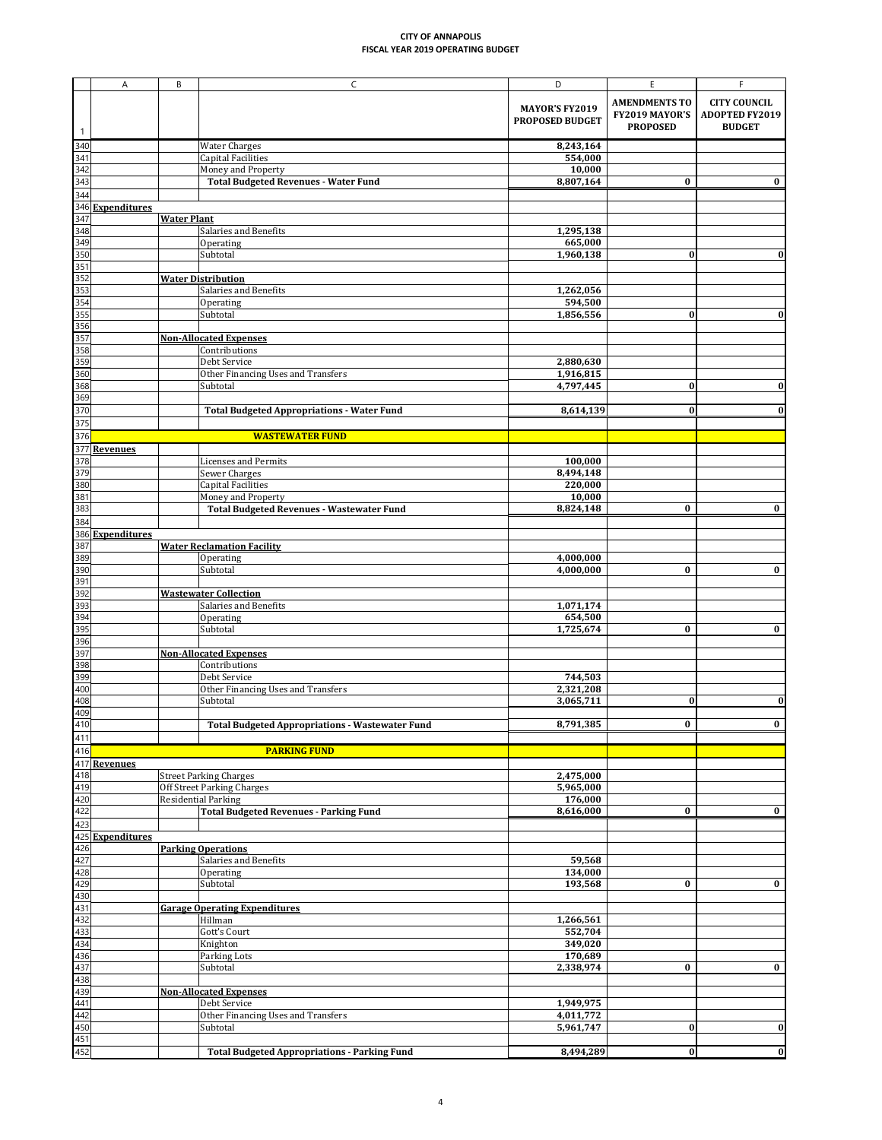|                                                                          | A                       | B                  | $\mathsf{C}$                                             | D                      | E                    | F.                    |
|--------------------------------------------------------------------------|-------------------------|--------------------|----------------------------------------------------------|------------------------|----------------------|-----------------------|
|                                                                          |                         |                    |                                                          |                        |                      |                       |
|                                                                          |                         |                    |                                                          | <b>MAYOR'S FY2019</b>  | <b>AMENDMENTS TO</b> | <b>CITY COUNCIL</b>   |
|                                                                          |                         |                    |                                                          | <b>PROPOSED BUDGET</b> | FY2019 MAYOR'S       | <b>ADOPTED FY2019</b> |
| $\mathbf{1}$                                                             |                         |                    |                                                          |                        | <b>PROPOSED</b>      | <b>BUDGET</b>         |
| 340                                                                      |                         |                    | <b>Water Charges</b>                                     | 8,243,164              |                      |                       |
| 341                                                                      |                         |                    | <b>Capital Facilities</b>                                | 554,000                |                      |                       |
| 342                                                                      |                         |                    | Money and Property                                       | 10,000                 |                      |                       |
| 343                                                                      |                         |                    | <b>Total Budgeted Revenues - Water Fund</b>              | 8,807,164              | $\bf{0}$             | $\bf{0}$              |
| 344                                                                      |                         |                    |                                                          |                        |                      |                       |
|                                                                          | 346 Expenditures        |                    |                                                          |                        |                      |                       |
| 347                                                                      |                         | <b>Water Plant</b> |                                                          |                        |                      |                       |
|                                                                          |                         |                    | Salaries and Benefits                                    | 1,295,138              |                      |                       |
|                                                                          |                         |                    | Operating                                                | 665,000                |                      |                       |
|                                                                          |                         |                    | Subtotal                                                 | 1,960,138              | $\bf{0}$             | $\bf{0}$              |
|                                                                          |                         |                    |                                                          |                        |                      |                       |
|                                                                          |                         |                    | <b>Water Distribution</b>                                |                        |                      |                       |
|                                                                          |                         |                    | Salaries and Benefits                                    | 1,262,056              |                      |                       |
|                                                                          |                         |                    | Operating                                                | 594,500                |                      |                       |
| <u>ಇದಿ ನಿ  ನಿ  ನಾ  ನಾ  ನಾ </u><br>ನಾ  ನಾ  ನಾ  ನಾ  ನಾ  ನಾ                 |                         |                    | Subtotal                                                 | 1,856,556              | $\boldsymbol{0}$     | 0                     |
|                                                                          |                         |                    |                                                          |                        |                      |                       |
| 356<br>357                                                               |                         |                    | <b>Non-Allocated Expenses</b>                            |                        |                      |                       |
| 358                                                                      |                         |                    | Contributions                                            |                        |                      |                       |
| 359                                                                      |                         |                    | Debt Service                                             | 2,880,630              |                      |                       |
|                                                                          |                         |                    | Other Financing Uses and Transfers                       | 1,916,815              |                      |                       |
|                                                                          |                         |                    | Subtotal                                                 | 4,797,445              | $\bf{0}$             | 0                     |
| $\frac{360}{368}$                                                        |                         |                    |                                                          |                        |                      |                       |
| 370                                                                      |                         |                    | <b>Total Budgeted Appropriations - Water Fund</b>        | 8,614,139              | $\bf{0}$             |                       |
| 375                                                                      |                         |                    |                                                          |                        |                      |                       |
| 376                                                                      |                         |                    | <b>WASTEWATER FUND</b>                                   |                        |                      |                       |
| 377                                                                      | <b>Revenues</b>         |                    |                                                          |                        |                      |                       |
| 378                                                                      |                         |                    | <b>Licenses and Permits</b>                              | 100,000                |                      |                       |
| 379                                                                      |                         |                    | Sewer Charges                                            | 8,494,148              |                      |                       |
|                                                                          |                         |                    | <b>Capital Facilities</b>                                | 220,000                |                      |                       |
|                                                                          |                         |                    | Money and Property                                       | 10,000                 |                      |                       |
| $\begin{array}{r}\n 380 \\  \hline\n 381 \\  \hline\n 383\n \end{array}$ |                         |                    | <b>Total Budgeted Revenues - Wastewater Fund</b>         | 8,824,148              | $\bf{0}$             | $\bf{0}$              |
| 384                                                                      |                         |                    |                                                          |                        |                      |                       |
|                                                                          |                         |                    |                                                          |                        |                      |                       |
|                                                                          | 386 Expenditures<br>387 |                    | <b>Water Reclamation Facility</b>                        |                        |                      |                       |
|                                                                          |                         |                    | Operating                                                | 4,000,000              |                      |                       |
| 389<br>390                                                               |                         |                    | Subtotal                                                 | 4,000,000              | $\bf{0}$             | $\bf{0}$              |
| 391                                                                      |                         |                    |                                                          |                        |                      |                       |
| 392                                                                      |                         |                    | <b>Wastewater Collection</b>                             |                        |                      |                       |
| 393                                                                      |                         |                    | Salaries and Benefits                                    | 1,071,174              |                      |                       |
| 394                                                                      |                         |                    | Operating                                                | 654,500                |                      |                       |
| 395                                                                      |                         |                    | Subtotal                                                 | 1,725,674              | $\bf{0}$             | $\bf{0}$              |
| 396                                                                      |                         |                    |                                                          |                        |                      |                       |
| 397                                                                      |                         |                    | <b>Non-Allocated Expenses</b>                            |                        |                      |                       |
| 398                                                                      |                         |                    | Contributions                                            |                        |                      |                       |
| 399                                                                      |                         |                    | Debt Service                                             | 744,503                |                      |                       |
| 400                                                                      |                         |                    | Other Financing Uses and Transfers                       | 2,321,208              |                      |                       |
| 408                                                                      |                         |                    | Subtotal                                                 | 3,065,711              | $\boldsymbol{0}$     | 0                     |
| 409                                                                      |                         |                    |                                                          |                        |                      |                       |
| 410                                                                      |                         |                    | <b>Total Budgeted Appropriations - Wastewater Fund</b>   | 8,791,385              | $\bf{0}$             | $\bf{0}$              |
| 411                                                                      |                         |                    |                                                          |                        |                      |                       |
| 416                                                                      |                         |                    | <b>PARKING FUND</b>                                      |                        |                      |                       |
|                                                                          | 417 Revenues            |                    |                                                          |                        |                      |                       |
| 418<br>419                                                               |                         |                    | <b>Street Parking Charges</b>                            | 2,475,000              |                      |                       |
| 420                                                                      |                         |                    | Off Street Parking Charges<br><b>Residential Parking</b> | 5,965,000<br>176,000   |                      |                       |
| 422                                                                      |                         |                    | <b>Total Budgeted Revenues - Parking Fund</b>            | 8,616,000              | $\bf{0}$             | $\bf{0}$              |
| 423                                                                      |                         |                    |                                                          |                        |                      |                       |
|                                                                          | 425 Expenditures        |                    |                                                          |                        |                      |                       |
| 426                                                                      |                         |                    | <b>Parking Operations</b>                                |                        |                      |                       |
| 427                                                                      |                         |                    | Salaries and Benefits                                    | 59,568                 |                      |                       |
|                                                                          |                         |                    | Operating                                                | 134,000                |                      |                       |
|                                                                          |                         |                    | Subtotal                                                 | 193,568                | $\bf{0}$             | $\bf{0}$              |
|                                                                          |                         |                    |                                                          |                        |                      |                       |
| 428<br>429<br>430<br>431<br>432<br>433<br>434<br>436<br>437              |                         |                    | <b>Garage Operating Expenditures</b>                     |                        |                      |                       |
|                                                                          |                         |                    | Hillman                                                  | 1,266,561              |                      |                       |
|                                                                          |                         |                    | Gott's Court                                             | 552,704                |                      |                       |
|                                                                          |                         |                    | Knighton                                                 | 349,020                |                      |                       |
|                                                                          |                         |                    | Parking Lots                                             | 170,689                |                      |                       |
|                                                                          |                         |                    | Subtotal                                                 | 2,338,974              | $\bf{0}$             | $\bf{0}$              |
|                                                                          |                         |                    |                                                          |                        |                      |                       |
| $\frac{438}{439}$                                                        |                         |                    | <b>Non-Allocated Expenses</b>                            |                        |                      |                       |
|                                                                          |                         |                    | Debt Service                                             | 1,949,975              |                      |                       |
| $\frac{442}{450}$                                                        |                         |                    | Other Financing Uses and Transfers                       | 4,011,772              |                      |                       |
|                                                                          |                         |                    | Subtotal                                                 | 5,961,747              | $\bf{0}$             | 0                     |
| 451                                                                      |                         |                    |                                                          |                        |                      |                       |
| 452                                                                      |                         |                    | <b>Total Budgeted Appropriations - Parking Fund</b>      | 8,494,289              | 0                    | 0                     |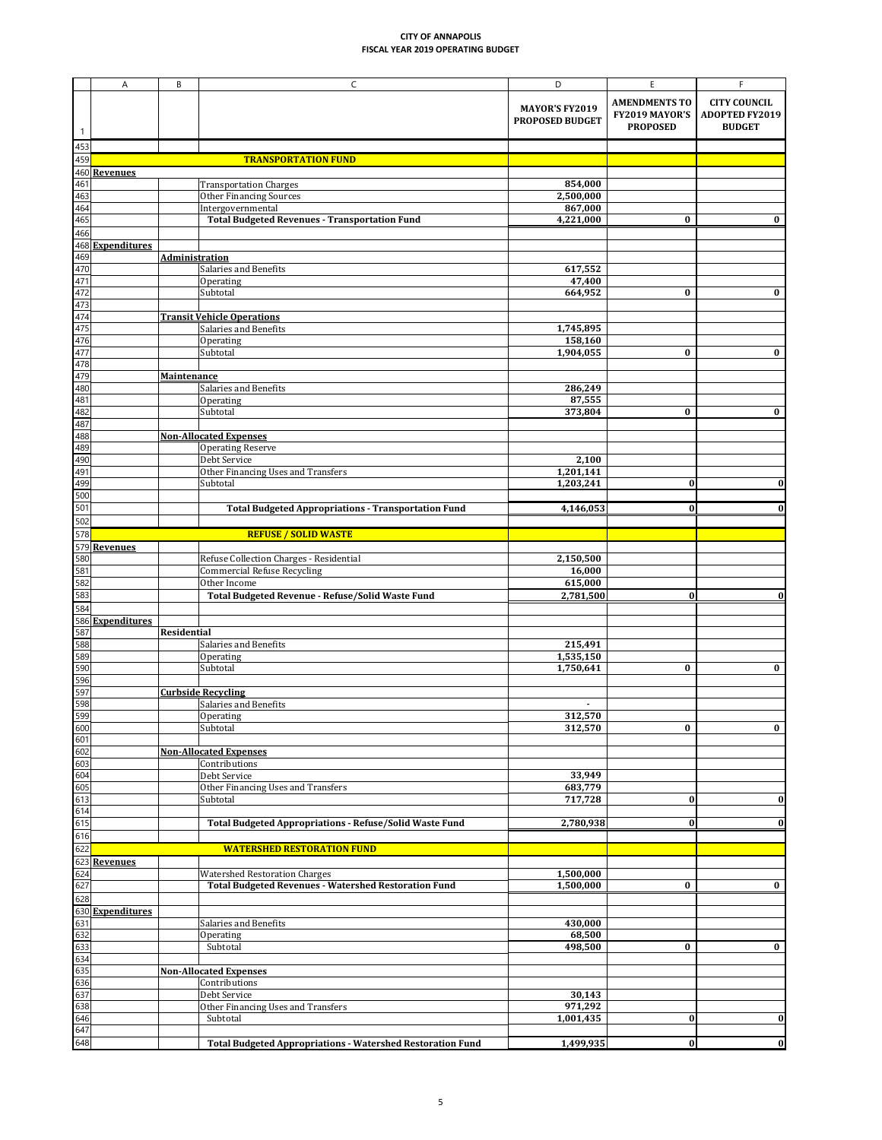|                                        | A                                                   | B                     | $\mathsf{C}$                                                              | D                                               | E                                                         | F.                                                            |
|----------------------------------------|-----------------------------------------------------|-----------------------|---------------------------------------------------------------------------|-------------------------------------------------|-----------------------------------------------------------|---------------------------------------------------------------|
|                                        |                                                     |                       |                                                                           | <b>MAYOR'S FY2019</b><br><b>PROPOSED BUDGET</b> | <b>AMENDMENTS TO</b><br>FY2019 MAYOR'S<br><b>PROPOSED</b> | <b>CITY COUNCIL</b><br><b>ADOPTED FY2019</b><br><b>BUDGET</b> |
| 453                                    |                                                     |                       |                                                                           |                                                 |                                                           |                                                               |
| 459                                    |                                                     |                       | <b>TRANSPORTATION FUND</b>                                                |                                                 |                                                           |                                                               |
| 460                                    | <b>Revenues</b>                                     |                       |                                                                           |                                                 |                                                           |                                                               |
| 461                                    |                                                     |                       | <b>Transportation Charges</b>                                             | 854,000                                         |                                                           |                                                               |
| 463                                    |                                                     |                       | <b>Other Financing Sources</b>                                            | 2,500,000                                       |                                                           |                                                               |
| 464<br>465                             |                                                     |                       | Intergovernmental<br><b>Total Budgeted Revenues - Transportation Fund</b> | 867,000<br>4,221,000                            | $\bf{0}$                                                  | $\bf{0}$                                                      |
| 466                                    |                                                     |                       |                                                                           |                                                 |                                                           |                                                               |
|                                        | 468 Expenditures                                    |                       |                                                                           |                                                 |                                                           |                                                               |
| 469                                    |                                                     | <b>Administration</b> |                                                                           |                                                 |                                                           |                                                               |
| 470                                    |                                                     |                       | Salaries and Benefits                                                     | 617,552                                         |                                                           |                                                               |
| 471<br>472                             |                                                     |                       | Operating<br>Subtotal                                                     | 47,400<br>664,952                               | $\bf{0}$                                                  | $\bf{0}$                                                      |
| 473                                    |                                                     |                       |                                                                           |                                                 |                                                           |                                                               |
| 474                                    |                                                     |                       | <b>Transit Vehicle Operations</b>                                         |                                                 |                                                           |                                                               |
| 475<br>476                             |                                                     |                       | Salaries and Benefits                                                     | 1,745,895                                       |                                                           |                                                               |
| 477                                    |                                                     |                       | Operating<br>Subtotal                                                     | 158,160<br>1,904,055                            | $\bf{0}$                                                  | $\bf{0}$                                                      |
| 478                                    |                                                     |                       |                                                                           |                                                 |                                                           |                                                               |
| 479                                    |                                                     | <b>Maintenance</b>    |                                                                           |                                                 |                                                           |                                                               |
| 480                                    |                                                     |                       | Salaries and Benefits                                                     | 286,249                                         |                                                           |                                                               |
| 481                                    |                                                     |                       | Operating<br>Subtotal                                                     | 87,555                                          |                                                           |                                                               |
| 482<br>487                             |                                                     |                       |                                                                           | 373,804                                         | $\bf{0}$                                                  | $\bf{0}$                                                      |
| 488                                    |                                                     |                       | <b>Non-Allocated Expenses</b>                                             |                                                 |                                                           |                                                               |
| 489                                    |                                                     |                       | <b>Operating Reserve</b>                                                  |                                                 |                                                           |                                                               |
| 490                                    |                                                     |                       | Debt Service                                                              | 2,100                                           |                                                           |                                                               |
| $\frac{491}{499}$                      |                                                     |                       | Other Financing Uses and Transfers<br>Subtotal                            | 1,201,141<br>1,203,241                          | $\bf{0}$                                                  | $\boldsymbol{0}$                                              |
| 500                                    |                                                     |                       |                                                                           |                                                 |                                                           |                                                               |
| 501                                    |                                                     |                       | <b>Total Budgeted Appropriations - Transportation Fund</b>                | 4,146,053                                       | $\bf{0}$                                                  |                                                               |
| 502                                    |                                                     |                       |                                                                           |                                                 |                                                           |                                                               |
| 578                                    |                                                     |                       | <b>REFUSE / SOLID WASTE</b>                                               |                                                 |                                                           |                                                               |
| 580                                    | 579 Revenues                                        |                       | Refuse Collection Charges - Residential                                   | 2,150,500                                       |                                                           |                                                               |
| 581                                    |                                                     |                       | <b>Commercial Refuse Recycling</b>                                        | 16,000                                          |                                                           |                                                               |
| 582                                    |                                                     |                       | Other Income                                                              | 615,000                                         |                                                           |                                                               |
| 583                                    |                                                     |                       | Total Budgeted Revenue - Refuse/Solid Waste Fund                          | 2,781,500                                       | $\boldsymbol{0}$                                          |                                                               |
| 584                                    | 586 Expenditures                                    |                       |                                                                           |                                                 |                                                           |                                                               |
| 587                                    |                                                     | <b>Residential</b>    |                                                                           |                                                 |                                                           |                                                               |
| 588                                    |                                                     |                       | <b>Salaries and Benefits</b>                                              | 215,491                                         |                                                           |                                                               |
| 589                                    |                                                     |                       | Operating                                                                 | 1,535,150                                       |                                                           |                                                               |
| 590<br>596                             |                                                     |                       | Subtotal                                                                  | 1,750,641                                       | $\bf{0}$                                                  | $\bf{0}$                                                      |
| 597                                    |                                                     |                       | <b>Curbside Recycling</b>                                                 |                                                 |                                                           |                                                               |
| 598                                    |                                                     |                       | Salaries and Benefits                                                     | $\blacksquare$                                  |                                                           |                                                               |
| 599                                    |                                                     |                       | Operating                                                                 | 312,570                                         |                                                           |                                                               |
| 600<br>601                             |                                                     |                       | Subtotal                                                                  | 312,570                                         | $\bf{0}$                                                  | $\bf{0}$                                                      |
| 602                                    |                                                     |                       | <b>Non-Allocated Expenses</b>                                             |                                                 |                                                           |                                                               |
| 603                                    |                                                     |                       | Contributions                                                             |                                                 |                                                           |                                                               |
| 604                                    |                                                     |                       | Debt Service                                                              | 33,949                                          |                                                           |                                                               |
| 605<br>613                             |                                                     |                       | Other Financing Uses and Transfers<br>Subtotal                            | 683,779<br>717,728                              | $\bf{0}$                                                  | 0                                                             |
| 614                                    |                                                     |                       |                                                                           |                                                 |                                                           |                                                               |
| 615                                    |                                                     |                       | <b>Total Budgeted Appropriations - Refuse/Solid Waste Fund</b>            | 2,780,938                                       | $\boldsymbol{0}$                                          | 0                                                             |
| 616                                    |                                                     |                       |                                                                           |                                                 |                                                           |                                                               |
| 622                                    |                                                     |                       | <b>WATERSHED RESTORATION FUND</b>                                         |                                                 |                                                           |                                                               |
|                                        | 623 Revenues                                        |                       | <b>Watershed Restoration Charges</b>                                      | 1,500,000                                       |                                                           |                                                               |
|                                        | 624<br>624<br>627<br>628<br>630 Expenditures<br>631 |                       | <b>Total Budgeted Revenues - Watershed Restoration Fund</b>               | 1,500,000                                       | $\bf{0}$                                                  | $\bf{0}$                                                      |
|                                        |                                                     |                       |                                                                           |                                                 |                                                           |                                                               |
|                                        |                                                     |                       |                                                                           |                                                 |                                                           |                                                               |
|                                        |                                                     |                       | <b>Salaries and Benefits</b><br>Operating                                 | 430,000<br>68,500                               |                                                           |                                                               |
|                                        |                                                     |                       | Subtotal                                                                  | 498,500                                         | $\bf{0}$                                                  | $\bf{0}$                                                      |
|                                        |                                                     |                       |                                                                           |                                                 |                                                           |                                                               |
|                                        |                                                     |                       | <b>Non-Allocated Expenses</b>                                             |                                                 |                                                           |                                                               |
| 632<br>633<br>637<br>646<br>647<br>647 |                                                     |                       | Contributions<br>Debt Service                                             | 30,143                                          |                                                           |                                                               |
|                                        |                                                     |                       | Other Financing Uses and Transfers                                        | 971,292                                         |                                                           |                                                               |
|                                        |                                                     |                       | Subtotal                                                                  | 1,001,435                                       | $\bf{0}$                                                  | $\boldsymbol{0}$                                              |
|                                        |                                                     |                       |                                                                           |                                                 |                                                           |                                                               |
| 648                                    |                                                     |                       | <b>Total Budgeted Appropriations - Watershed Restoration Fund</b>         | 1,499,935                                       | 0                                                         | 0                                                             |